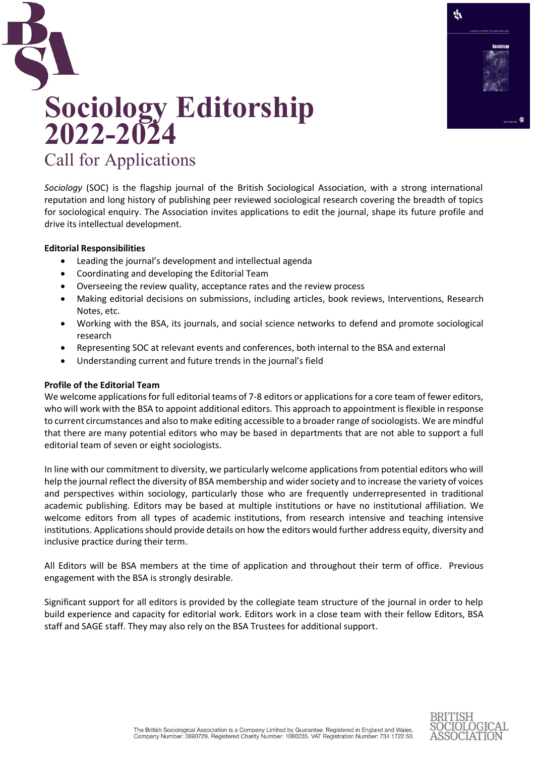

# **Sociology Editorship 2022-2024** Call for Applications

*Sociology* (SOC) is the flagship journal of the British Sociological Association, with a strong international reputation and long history of publishing peer reviewed sociological research covering the breadth of topics for sociological enquiry. The Association invites applications to edit the journal, shape its future profile and drive its intellectual development.

# **Editorial Responsibilities**

- Leading the journal's development and intellectual agenda
- Coordinating and developing the Editorial Team
- Overseeing the review quality, acceptance rates and the review process
- Making editorial decisions on submissions, including articles, book reviews, Interventions, Research Notes, etc.
- Working with the BSA, its journals, and social science networks to defend and promote sociological research
- Representing SOC at relevant events and conferences, both internal to the BSA and external
- Understanding current and future trends in the journal's field

### **Profile of the Editorial Team**

We welcome applications for full editorial teams of 7-8 editors or applications for a core team of fewer editors, who will work with the BSA to appoint additional editors. This approach to appointment is flexible in response to current circumstances and also to make editing accessible to a broader range of sociologists. We are mindful that there are many potential editors who may be based in departments that are not able to support a full editorial team of seven or eight sociologists.

In line with our commitment to diversity, we particularly welcome applications from potential editors who will help the journal reflect the diversity of BSA membership and wider society and to increase the variety of voices and perspectives within sociology, particularly those who are frequently underrepresented in traditional academic publishing. Editors may be based at multiple institutions or have no institutional affiliation. We welcome editors from all types of academic institutions, from research intensive and teaching intensive institutions. Applications should provide details on how the editors would further address equity, diversity and inclusive practice during their term.

All Editors will be BSA members at the time of application and throughout their term of office. Previous engagement with the BSA is strongly desirable.

Significant support for all editors is provided by the collegiate team structure of the journal in order to help build experience and capacity for editorial work. Editors work in a close team with their fellow Editors, BSA staff and SAGE staff. They may also rely on the BSA Trustees for additional support.